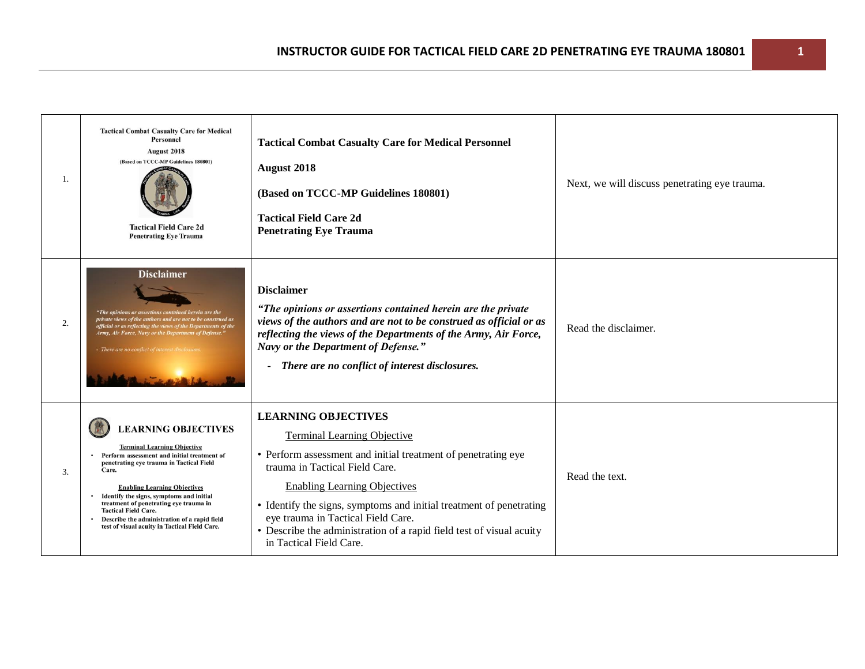| 1. | <b>Tactical Combat Casualty Care for Medical</b><br><b>Personnel</b><br>August 2018<br>(Based on TCCC-MP Guidelines 180801)<br><b>Tactical Field Care 2d</b><br><b>Penetrating Eve Trauma</b>                                                                                                                                                                                                                                                    | <b>Tactical Combat Casualty Care for Medical Personnel</b><br>August 2018<br>(Based on TCCC-MP Guidelines 180801)<br><b>Tactical Field Care 2d</b><br><b>Penetrating Eye Trauma</b>                                                                                                                                                                                                                                        | Next, we will discuss penetrating eye trauma. |
|----|--------------------------------------------------------------------------------------------------------------------------------------------------------------------------------------------------------------------------------------------------------------------------------------------------------------------------------------------------------------------------------------------------------------------------------------------------|----------------------------------------------------------------------------------------------------------------------------------------------------------------------------------------------------------------------------------------------------------------------------------------------------------------------------------------------------------------------------------------------------------------------------|-----------------------------------------------|
| 2. | <b>Disclaimer</b><br>"The opinions or assertions contained herein are the<br>private views of the authors and are not to be construed as<br>official or as reflecting the views of the Departments of the<br>Army, Air Force, Navy or the Department of Defense."<br>- There are no conflict of interest disclose                                                                                                                                | <b>Disclaimer</b><br>"The opinions or assertions contained herein are the private<br>views of the authors and are not to be construed as official or as<br>reflecting the views of the Departments of the Army, Air Force,<br>Navy or the Department of Defense."<br>There are no conflict of interest disclosures.<br>$\blacksquare$                                                                                      | Read the disclaimer.                          |
| 3. | <b>LEARNING OBJECTIVES</b><br><b>Terminal Learning Objective</b><br>Perform assessment and initial treatment of<br>penetrating eye trauma in Tactical Field<br>Care.<br><b>Enabling Learning Objectives</b><br>• Identify the signs, symptoms and initial<br>treatment of penetrating eye trauma in<br><b>Tactical Field Care.</b><br>Describe the administration of a rapid field<br>$\bullet$<br>test of visual acuity in Tactical Field Care. | <b>LEARNING OBJECTIVES</b><br><b>Terminal Learning Objective</b><br>• Perform assessment and initial treatment of penetrating eye<br>trauma in Tactical Field Care.<br><b>Enabling Learning Objectives</b><br>• Identify the signs, symptoms and initial treatment of penetrating<br>eye trauma in Tactical Field Care.<br>• Describe the administration of a rapid field test of visual acuity<br>in Tactical Field Care. | Read the text.                                |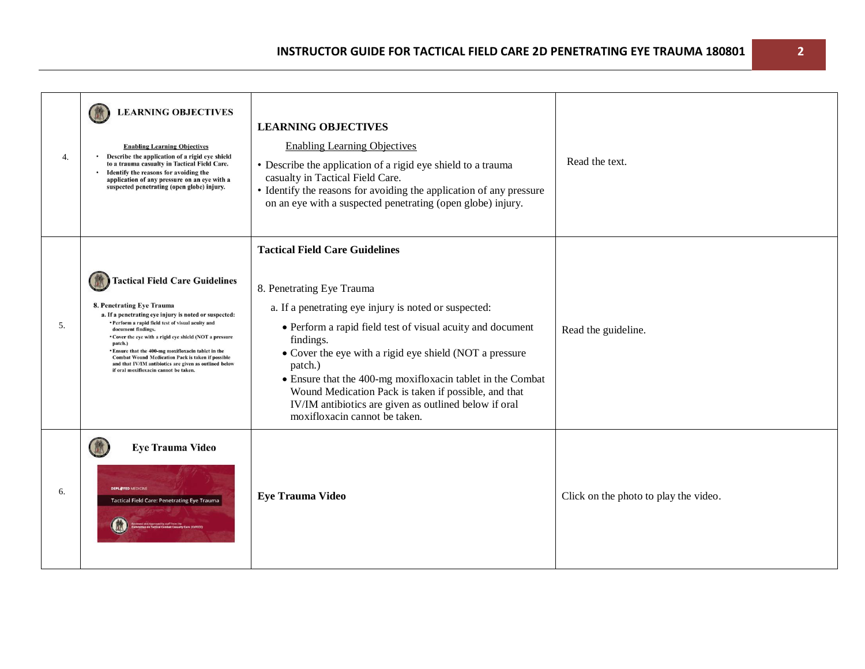| 4. | <b>LEARNING OBJECTIVES</b><br><b>Enabling Learning Objectives</b><br>Describe the application of a rigid eye shield<br>to a trauma casualty in Tactical Field Care.<br>Identify the reasons for avoiding the<br>application of any pressure on an eye with a<br>suspected penetrating (open globe) injury.                                                                                                                                                                                         | <b>LEARNING OBJECTIVES</b><br><b>Enabling Learning Objectives</b><br>• Describe the application of a rigid eye shield to a trauma<br>casualty in Tactical Field Care.<br>• Identify the reasons for avoiding the application of any pressure<br>on an eye with a suspected penetrating (open globe) injury.                                                                                                                                                                                  | Read the text.                        |
|----|----------------------------------------------------------------------------------------------------------------------------------------------------------------------------------------------------------------------------------------------------------------------------------------------------------------------------------------------------------------------------------------------------------------------------------------------------------------------------------------------------|----------------------------------------------------------------------------------------------------------------------------------------------------------------------------------------------------------------------------------------------------------------------------------------------------------------------------------------------------------------------------------------------------------------------------------------------------------------------------------------------|---------------------------------------|
| 5. | <b>Tactical Field Care Guidelines</b><br>8. Penetrating Eye Trauma<br>a. If a penetrating eye injury is noted or suspected:<br>• Perform a rapid field test of visual acuity and<br>document findings.<br>• Cover the eye with a rigid eye shield (NOT a pressure<br>patch.)<br>* Ensure that the 400-mg moxifloxacin tablet in the<br><b>Combat Wound Medication Pack is taken if possible</b><br>and that IV/IM antibiotics are given as outlined below<br>if oral moxifloxacin cannot be taken. | <b>Tactical Field Care Guidelines</b><br>8. Penetrating Eye Trauma<br>a. If a penetrating eye injury is noted or suspected:<br>• Perform a rapid field test of visual acuity and document<br>findings.<br>• Cover the eye with a rigid eye shield (NOT a pressure<br>patch.)<br>• Ensure that the 400-mg moxifloxacin tablet in the Combat<br>Wound Medication Pack is taken if possible, and that<br>IV/IM antibiotics are given as outlined below if oral<br>moxifloxacin cannot be taken. | Read the guideline.                   |
| 6. | <b>Eye Trauma Video</b><br>DEPLOYED MEDICIN<br><b>Tactical Field Care: Penetrating Eye Trauma</b>                                                                                                                                                                                                                                                                                                                                                                                                  | <b>Eye Trauma Video</b>                                                                                                                                                                                                                                                                                                                                                                                                                                                                      | Click on the photo to play the video. |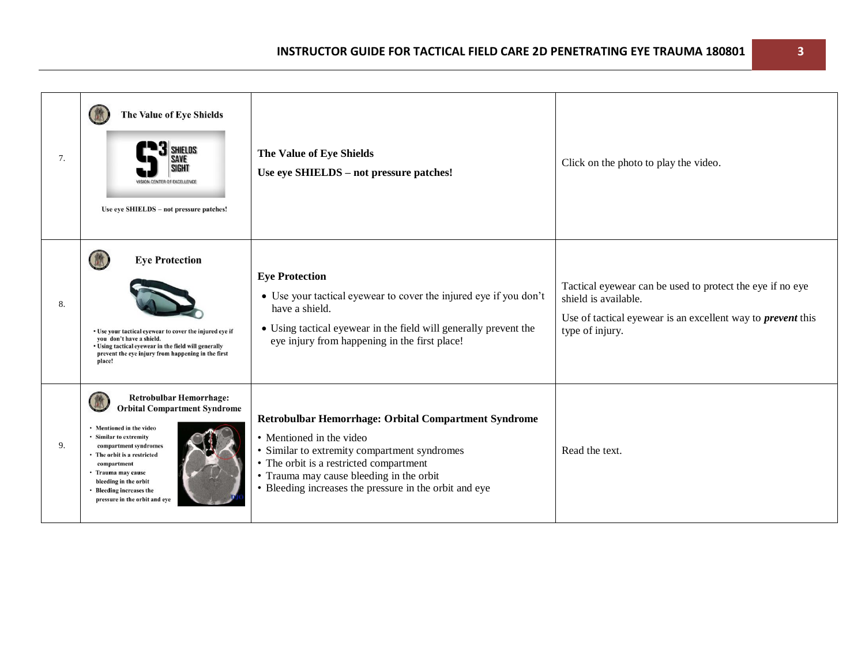| 7. | The Value of Eye Shields<br>SHIELDS<br><b>ISION CENTER OF EXCELLENCE</b><br>Use eye SHIELDS - not pressure patches!                                                                                                                                                                                            | The Value of Eye Shields<br>Use eye SHIELDS - not pressure patches!                                                                                                                                                                                                               | Click on the photo to play the video.                                                                                                                                      |
|----|----------------------------------------------------------------------------------------------------------------------------------------------------------------------------------------------------------------------------------------------------------------------------------------------------------------|-----------------------------------------------------------------------------------------------------------------------------------------------------------------------------------------------------------------------------------------------------------------------------------|----------------------------------------------------------------------------------------------------------------------------------------------------------------------------|
| 8. | <b>Eye Protection</b><br>• Use your tactical eyewear to cover the injured eye if<br>vou don't have a shield.<br>• Using tactical eyewear in the field will generally<br>prevent the eye injury from happening in the first<br>place!                                                                           | <b>Eye Protection</b><br>• Use your tactical eyewear to cover the injured eye if you don't<br>have a shield.<br>• Using tactical eyewear in the field will generally prevent the<br>eye injury from happening in the first place!                                                 | Tactical eyewear can be used to protect the eye if no eye<br>shield is available.<br>Use of tactical eyewear is an excellent way to <i>prevent</i> this<br>type of injury. |
| 9. | <b>Retrobulbar Hemorrhage:</b><br><b>Orbital Compartment Syndrome</b><br>• Mentioned in the video<br>• Similar to extremity<br>compartment syndromes<br>• The orbit is a restricted<br>compartment<br>• Trauma may cause<br>bleeding in the orbit<br>• Bleeding increases the<br>pressure in the orbit and eye | Retrobulbar Hemorrhage: Orbital Compartment Syndrome<br>• Mentioned in the video<br>• Similar to extremity compartment syndromes<br>• The orbit is a restricted compartment<br>• Trauma may cause bleeding in the orbit<br>• Bleeding increases the pressure in the orbit and eye | Read the text.                                                                                                                                                             |